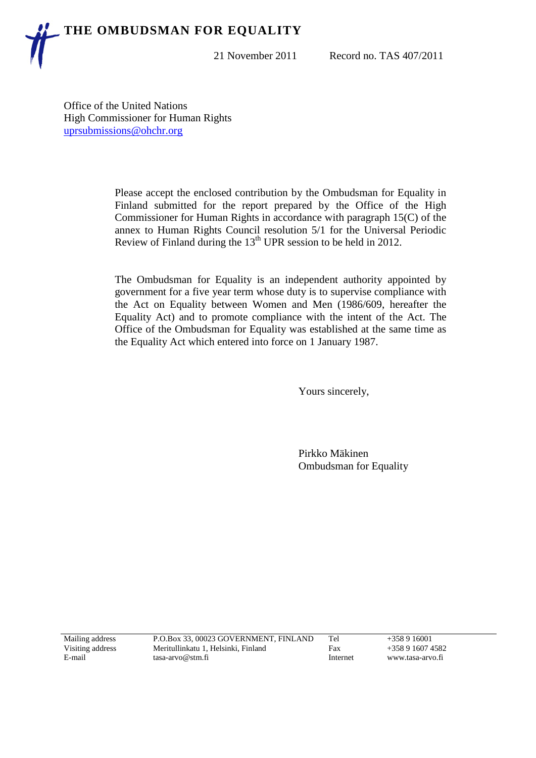## **THE OMBUDSMAN FOR EQUALITY**

21 November 2011 Record no. TAS 407/2011

Office of the United Nations High Commissioner for Human Rights [uprsubmissions@ohchr.org](mailto:uprsubmissions@ohchr.org)

> Please accept the enclosed contribution by the Ombudsman for Equality in Finland submitted for the report prepared by the Office of the High Commissioner for Human Rights in accordance with paragraph 15(C) of the annex to Human Rights Council resolution 5/1 for the Universal Periodic Review of Finland during the  $13<sup>th</sup>$  UPR session to be held in 2012.

> The Ombudsman for Equality is an independent authority appointed by government for a five year term whose duty is to supervise compliance with the Act on Equality between Women and Men (1986/609, hereafter the Equality Act) and to promote compliance with the intent of the Act. The Office of the Ombudsman for Equality was established at the same time as the Equality Act which entered into force on 1 January 1987.

> > Yours sincerely,

Pirkko Mäkinen Ombudsman for Equality

| Mailing address  | P.O.Box 33, 00023 GOVERNMENT, FINLAND | Tel      | $+358916001$     |
|------------------|---------------------------------------|----------|------------------|
| Visiting address | Meritullinkatu 1. Helsinki. Finland   | Fax      | +358 9 1607 4582 |
| E-mail           | tasa-arvo@stm.fi                      | Internet | www.tasa-arvo.fi |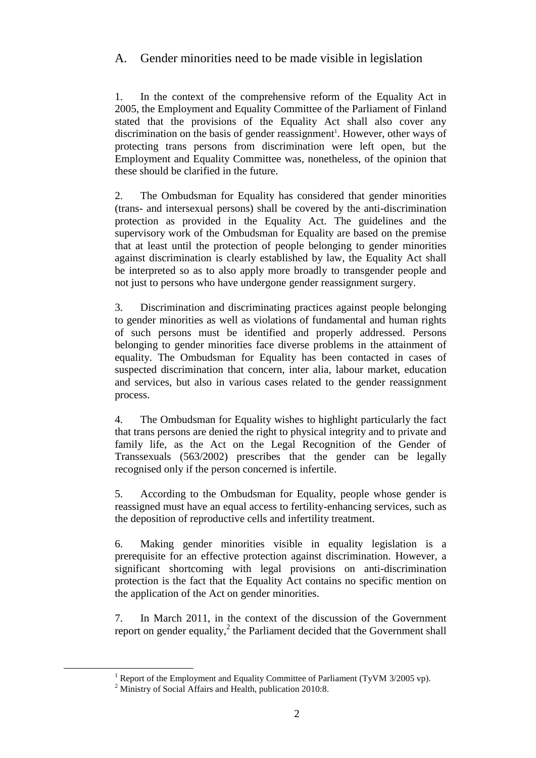## A. Gender minorities need to be made visible in legislation

1. In the context of the comprehensive reform of the Equality Act in 2005, the Employment and Equality Committee of the Parliament of Finland stated that the provisions of the Equality Act shall also cover any discrimination on the basis of gender reassignment<sup>1</sup>. However, other ways of protecting trans persons from discrimination were left open, but the Employment and Equality Committee was, nonetheless, of the opinion that these should be clarified in the future.

2. The Ombudsman for Equality has considered that gender minorities (trans- and intersexual persons) shall be covered by the anti-discrimination protection as provided in the Equality Act. The guidelines and the supervisory work of the Ombudsman for Equality are based on the premise that at least until the protection of people belonging to gender minorities against discrimination is clearly established by law, the Equality Act shall be interpreted so as to also apply more broadly to transgender people and not just to persons who have undergone gender reassignment surgery.

3. Discrimination and discriminating practices against people belonging to gender minorities as well as violations of fundamental and human rights of such persons must be identified and properly addressed. Persons belonging to gender minorities face diverse problems in the attainment of equality. The Ombudsman for Equality has been contacted in cases of suspected discrimination that concern, inter alia, labour market, education and services, but also in various cases related to the gender reassignment process.

4. The Ombudsman for Equality wishes to highlight particularly the fact that trans persons are denied the right to physical integrity and to private and family life, as the Act on the Legal Recognition of the Gender of Transsexuals (563/2002) prescribes that the gender can be legally recognised only if the person concerned is infertile.

5. According to the Ombudsman for Equality, people whose gender is reassigned must have an equal access to fertility-enhancing services, such as the deposition of reproductive cells and infertility treatment.

6. Making gender minorities visible in equality legislation is a prerequisite for an effective protection against discrimination. However, a significant shortcoming with legal provisions on anti-discrimination protection is the fact that the Equality Act contains no specific mention on the application of the Act on gender minorities.

7. In March 2011, in the context of the discussion of the Government report on gender equality, $^2$  the Parliament decided that the Government shall

 $\overline{a}$ 

<sup>&</sup>lt;sup>1</sup> Report of the Employment and Equality Committee of Parliament (TyVM  $3/2005$  vp).

<sup>&</sup>lt;sup>2</sup> Ministry of Social Affairs and Health, publication 2010:8.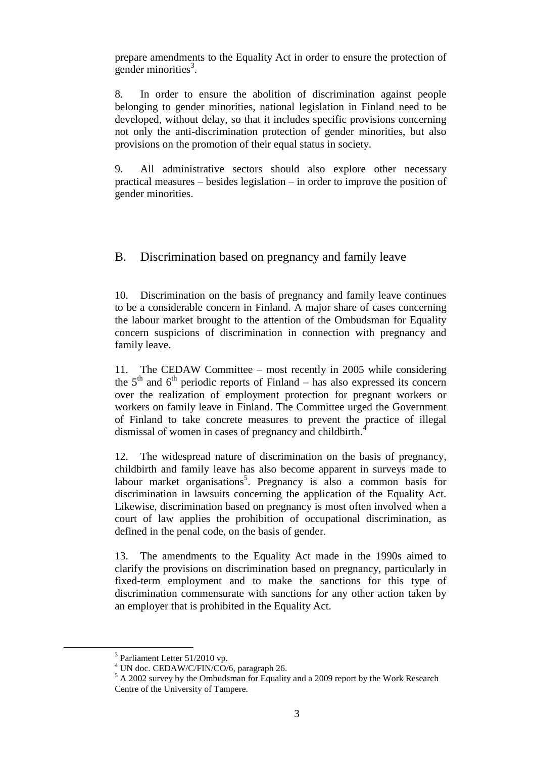prepare amendments to the Equality Act in order to ensure the protection of gender minorities<sup>3</sup>.

8. In order to ensure the abolition of discrimination against people belonging to gender minorities, national legislation in Finland need to be developed, without delay, so that it includes specific provisions concerning not only the anti-discrimination protection of gender minorities, but also provisions on the promotion of their equal status in society.

9. All administrative sectors should also explore other necessary practical measures – besides legislation – in order to improve the position of gender minorities.

B. Discrimination based on pregnancy and family leave

10. Discrimination on the basis of pregnancy and family leave continues to be a considerable concern in Finland. A major share of cases concerning the labour market brought to the attention of the Ombudsman for Equality concern suspicions of discrimination in connection with pregnancy and family leave.

11. The CEDAW Committee – most recently in 2005 while considering the  $5<sup>th</sup>$  and  $6<sup>th</sup>$  periodic reports of Finland – has also expressed its concern over the realization of employment protection for pregnant workers or workers on family leave in Finland. The Committee urged the Government of Finland to take concrete measures to prevent the practice of illegal dismissal of women in cases of pregnancy and childbirth.<sup>4</sup>

12. The widespread nature of discrimination on the basis of pregnancy, childbirth and family leave has also become apparent in surveys made to labour market organisations<sup>5</sup>. Pregnancy is also a common basis for discrimination in lawsuits concerning the application of the Equality Act. Likewise, discrimination based on pregnancy is most often involved when a court of law applies the prohibition of occupational discrimination, as defined in the penal code, on the basis of gender.

13. The amendments to the Equality Act made in the 1990s aimed to clarify the provisions on discrimination based on pregnancy, particularly in fixed-term employment and to make the sanctions for this type of discrimination commensurate with sanctions for any other action taken by an employer that is prohibited in the Equality Act.

 $\overline{a}$ 

<sup>&</sup>lt;sup>3</sup> Parliament Letter 51/2010 vp.

 $4$  UN doc. CEDAW/C/FIN/CO/6, paragraph 26.

<sup>5</sup> A 2002 survey by the Ombudsman for Equality and a 2009 report by the Work Research Centre of the University of Tampere.